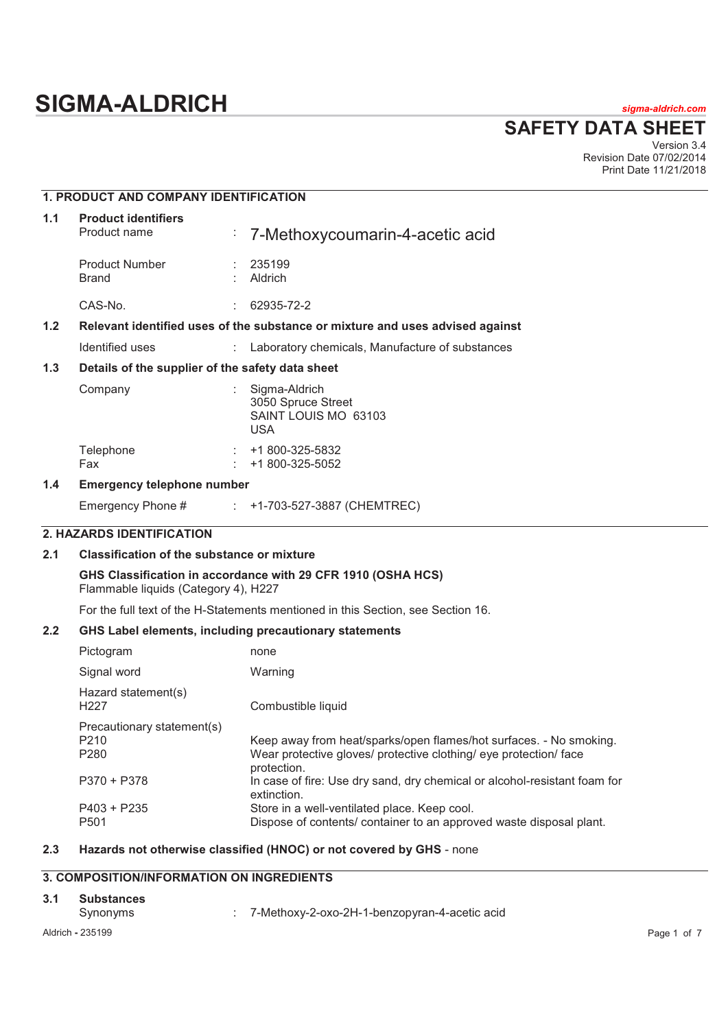# **SIGMA-ALDRICH** *sigma-aldrich.com*

**SAFETY DATA SHEET**

Version 3.4 Revision Date 07/02/2014 Print Date 11/21/2018

## **1. PRODUCT AND COMPANY IDENTIFICATION**

| 1.1 | <b>Product identifiers</b><br>Product name                                    |    | $\frac{1}{2}$ 7-Methoxycoumarin-4-acetic acid                             |  |
|-----|-------------------------------------------------------------------------------|----|---------------------------------------------------------------------------|--|
|     | <b>Product Number</b><br>Brand                                                |    | : 235199<br>Aldrich                                                       |  |
|     | CAS-No.                                                                       |    | 62935-72-2                                                                |  |
| 1.2 | Relevant identified uses of the substance or mixture and uses advised against |    |                                                                           |  |
|     | Identified uses                                                               |    | Laboratory chemicals, Manufacture of substances                           |  |
| 1.3 | Details of the supplier of the safety data sheet                              |    |                                                                           |  |
|     | Company                                                                       |    | Sigma-Aldrich<br>3050 Spruce Street<br>SAINT LOUIS MO 63103<br><b>USA</b> |  |
|     | Telephone<br>Fax                                                              | ÷. | +1 800-325-5832<br>+1 800-325-5052                                        |  |
|     |                                                                               |    |                                                                           |  |

### **1.4 Emergency telephone number**

Emergency Phone # : +1-703-527-3887 (CHEMTREC)

### **2. HAZARDS IDENTIFICATION**

### **2.1 Classification of the substance or mixture**

### **GHS Classification in accordance with 29 CFR 1910 (OSHA HCS)**

Flammable liquids (Category 4), H227

For the full text of the H-Statements mentioned in this Section, see Section 16.

### **2.2 GHS Label elements, including precautionary statements**

| Pictogram                                                          | none                                                                                                                                                   |
|--------------------------------------------------------------------|--------------------------------------------------------------------------------------------------------------------------------------------------------|
| Signal word                                                        | Warning                                                                                                                                                |
| Hazard statement(s)<br>H <sub>22</sub> 7                           | Combustible liquid                                                                                                                                     |
| Precautionary statement(s)<br>P <sub>210</sub><br>P <sub>280</sub> | Keep away from heat/sparks/open flames/hot surfaces. - No smoking.<br>Wear protective gloves/ protective clothing/ eye protection/ face<br>protection. |
| $P370 + P378$                                                      | In case of fire: Use dry sand, dry chemical or alcohol-resistant foam for<br>extinction.                                                               |
| $P403 + P235$<br>P <sub>501</sub>                                  | Store in a well-ventilated place. Keep cool.<br>Dispose of contents/ container to an approved waste disposal plant.                                    |

### **2.3 Hazards not otherwise classified (HNOC) or not covered by GHS** - none

### **3. COMPOSITION/INFORMATION ON INGREDIENTS**

- **3.1 Substances** 
	- Synonyms : 7-Methoxy-2-oxo-2H-1-benzopyran-4-acetic acid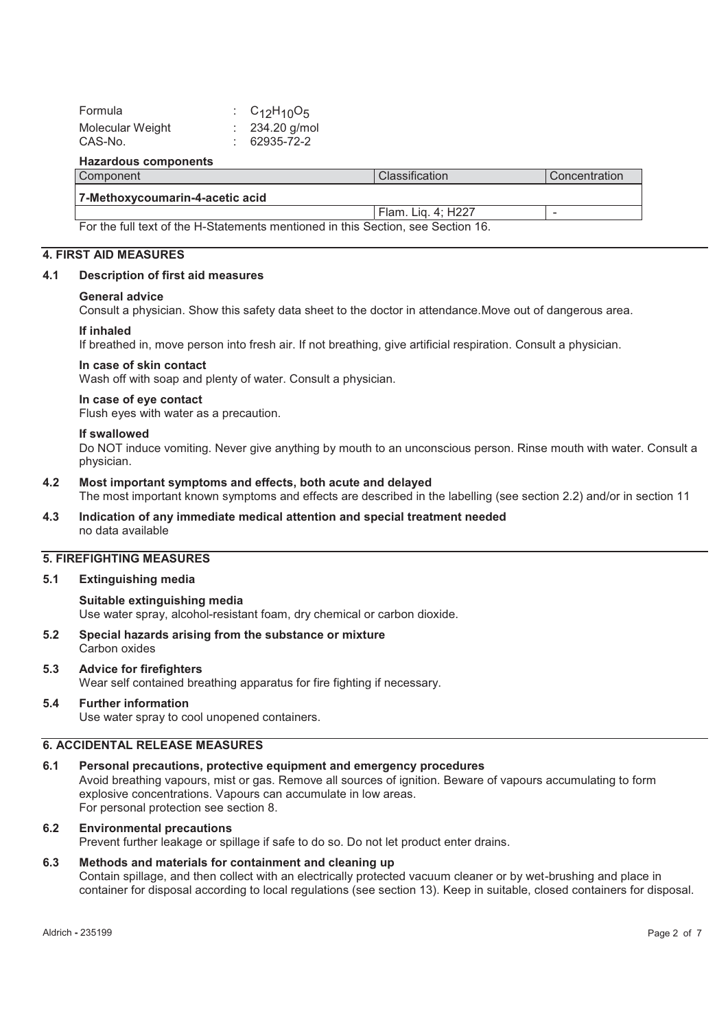| Formula          | : $C_{12}H_{10}O_5$ |
|------------------|---------------------|
| Molecular Weight | $: 234.20$ g/mol    |
| CAS-No.          | $: 62935 - 72 - 2$  |
|                  |                     |

#### **Hazardous components**

| Component                                                                        | l Classification   | Concentration |
|----------------------------------------------------------------------------------|--------------------|---------------|
| 7-Methoxycoumarin-4-acetic acid                                                  |                    |               |
|                                                                                  | Flam. Lig. 4: H227 | -             |
| For the full text of the H-Statements mentioned in this Section, see Section 16. |                    |               |

#### **4. FIRST AID MEASURES**

### **4.1 Description of first aid measures**

### **General advice**

Consult a physician. Show this safety data sheet to the doctor in attendance.Move out of dangerous area.

### **If inhaled**

If breathed in, move person into fresh air. If not breathing, give artificial respiration. Consult a physician.

### **In case of skin contact**

Wash off with soap and plenty of water. Consult a physician.

### **In case of eye contact**

Flush eyes with water as a precaution.

### **If swallowed**

Do NOT induce vomiting. Never give anything by mouth to an unconscious person. Rinse mouth with water. Consult a physician.

### **4.2 Most important symptoms and effects, both acute and delayed**

The most important known symptoms and effects are described in the labelling (see section 2.2) and/or in section 11

### **4.3 Indication of any immediate medical attention and special treatment needed**  no data available

### **5. FIREFIGHTING MEASURES**

#### **5.1 Extinguishing media**

### **Suitable extinguishing media**

Use water spray, alcohol-resistant foam, dry chemical or carbon dioxide.

### **5.2 Special hazards arising from the substance or mixture**  Carbon oxides

### **5.3 Advice for firefighters**

Wear self contained breathing apparatus for fire fighting if necessary.

### **5.4 Further information**

Use water spray to cool unopened containers.

### **6. ACCIDENTAL RELEASE MEASURES**

### **6.1 Personal precautions, protective equipment and emergency procedures**

Avoid breathing vapours, mist or gas. Remove all sources of ignition. Beware of vapours accumulating to form explosive concentrations. Vapours can accumulate in low areas. For personal protection see section 8.

### **6.2 Environmental precautions**

Prevent further leakage or spillage if safe to do so. Do not let product enter drains.

### **6.3 Methods and materials for containment and cleaning up**

Contain spillage, and then collect with an electrically protected vacuum cleaner or by wet-brushing and place in container for disposal according to local regulations (see section 13). Keep in suitable, closed containers for disposal.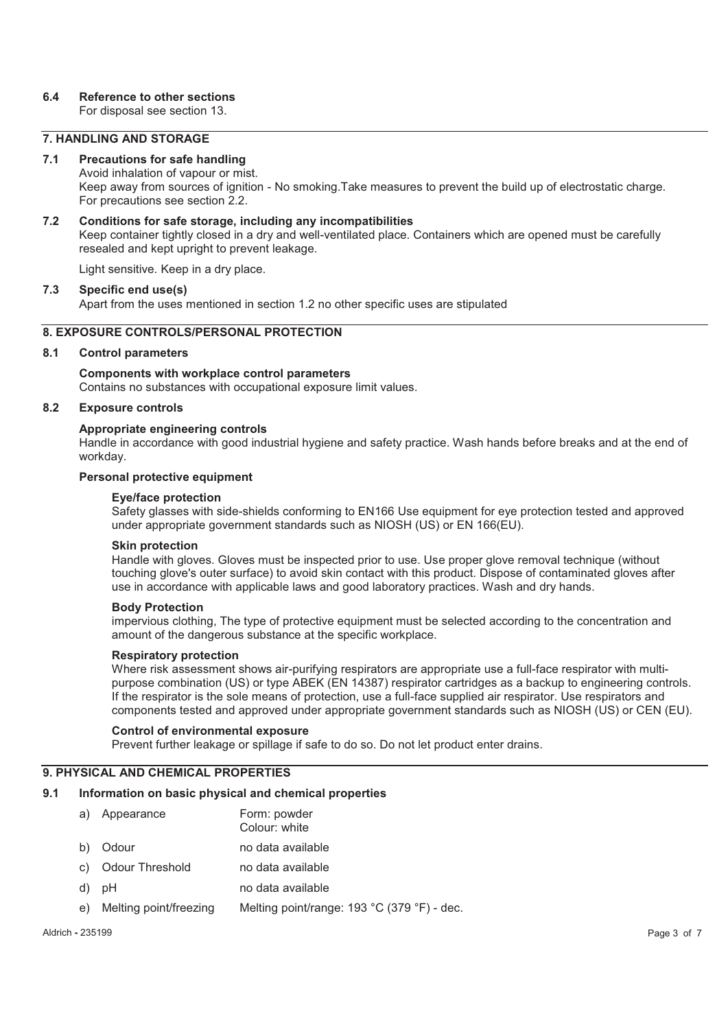### **6.4 Reference to other sections**

For disposal see section 13.

### **7. HANDLING AND STORAGE**

### **7.1 Precautions for safe handling**

Avoid inhalation of vapour or mist. Keep away from sources of ignition - No smoking.Take measures to prevent the build up of electrostatic charge. For precautions see section 2.2.

### **7.2 Conditions for safe storage, including any incompatibilities**

Keep container tightly closed in a dry and well-ventilated place. Containers which are opened must be carefully resealed and kept upright to prevent leakage.

Light sensitive. Keep in a dry place.

### **7.3 Specific end use(s)**

Apart from the uses mentioned in section 1.2 no other specific uses are stipulated

### **8. EXPOSURE CONTROLS/PERSONAL PROTECTION**

### **8.1 Control parameters**

**Components with workplace control parameters**  Contains no substances with occupational exposure limit values.

### **8.2 Exposure controls**

### **Appropriate engineering controls**

Handle in accordance with good industrial hygiene and safety practice. Wash hands before breaks and at the end of workday.

### **Personal protective equipment**

#### **Eye/face protection**

Safety glasses with side-shields conforming to EN166 Use equipment for eye protection tested and approved under appropriate government standards such as NIOSH (US) or EN 166(EU).

#### **Skin protection**

Handle with gloves. Gloves must be inspected prior to use. Use proper glove removal technique (without touching glove's outer surface) to avoid skin contact with this product. Dispose of contaminated gloves after use in accordance with applicable laws and good laboratory practices. Wash and dry hands.

#### **Body Protection**

impervious clothing, The type of protective equipment must be selected according to the concentration and amount of the dangerous substance at the specific workplace.

#### **Respiratory protection**

Where risk assessment shows air-purifying respirators are appropriate use a full-face respirator with multipurpose combination (US) or type ABEK (EN 14387) respirator cartridges as a backup to engineering controls. If the respirator is the sole means of protection, use a full-face supplied air respirator. Use respirators and components tested and approved under appropriate government standards such as NIOSH (US) or CEN (EU).

### **Control of environmental exposure**

Prevent further leakage or spillage if safe to do so. Do not let product enter drains.

### **9. PHYSICAL AND CHEMICAL PROPERTIES**

### **9.1 Information on basic physical and chemical properties**

a) Appearance Form: powder Colour: white b) Odour no data available c) Odour Threshold no data available d) pH no data available e) Melting point/freezing Melting point/range: 193 °C (379 °F) - dec.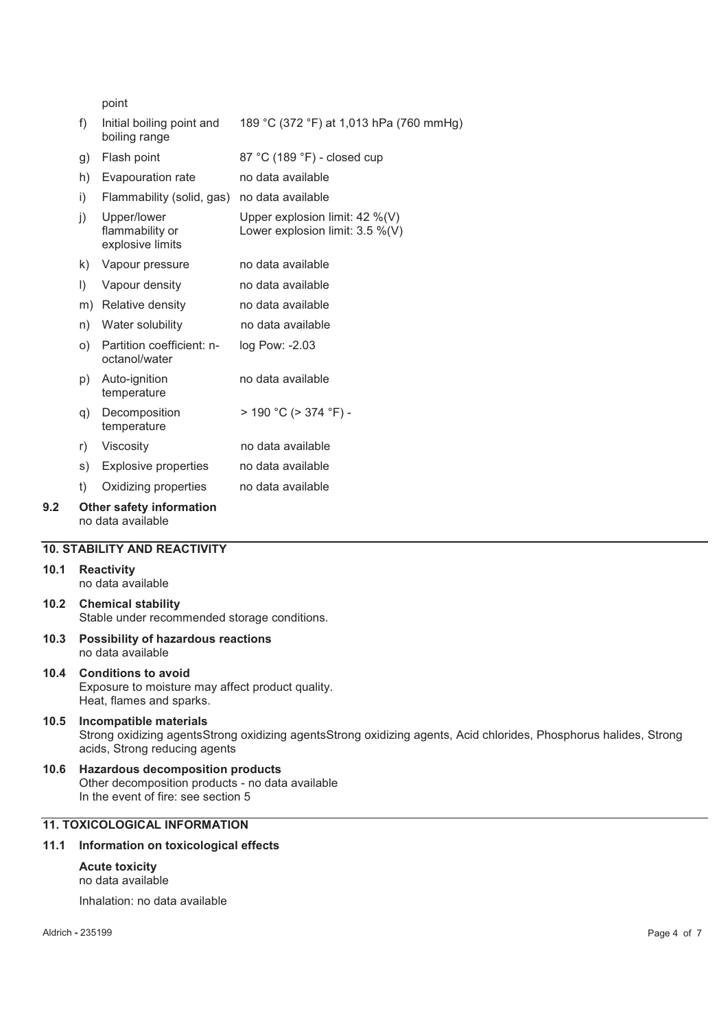point

- f) Initial boiling point and boiling range 189 °C (372 °F) at 1,013 hPa (760 mmHg)
- g) Flash point 87 °C (189 °F) closed cup
- h) Evapouration rate no data available i) Flammability (solid, gas) no data available
- j) Upper/lower flammability or explosive limits Upper explosion limit: 42 %(V) Lower explosion limit: 3.5 %(V)
- k) Vapour pressure no data available
- l) Vapour density no data available
- m) Relative density no data available
- n) Water solubility no data available
- o) Partition coefficient: noctanol/water log Pow: -2.03
- p) Auto-ignition temperature no data available
- q) Decomposition temperature  $> 190 °C$  ( $> 374 °F$ ) -
- r) Viscosity no data available
- s) Explosive properties no data available
- t) Oxidizing properties no data available

#### **9.2 Other safety information**  no data available

### **10. STABILITY AND REACTIVITY**

### **10.1 Reactivity**

no data available

- **10.2 Chemical stability**  Stable under recommended storage conditions.
- **10.3 Possibility of hazardous reactions**  no data available

### **10.4 Conditions to avoid**

Exposure to moisture may affect product quality. Heat, flames and sparks.

### **10.5 Incompatible materials**  Strong oxidizing agentsStrong oxidizing agentsStrong oxidizing agents, Acid chlorides, Phosphorus halides, Strong acids, Strong reducing agents

**10.6 Hazardous decomposition products**  Other decomposition products - no data available In the event of fire: see section 5

### **11. TOXICOLOGICAL INFORMATION**

### **11.1 Information on toxicological effects**

### **Acute toxicity**  no data available

Inhalation: no data available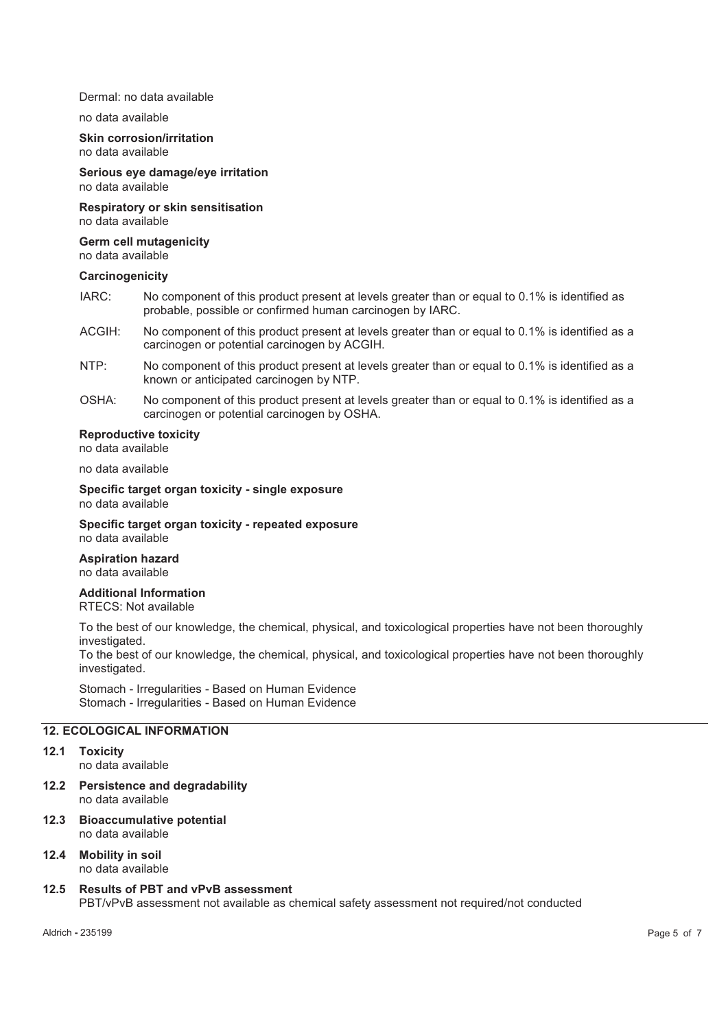#### Dermal: no data available

#### no data available

**Skin corrosion/irritation**  no data available

**Serious eye damage/eye irritation**  no data available

**Respiratory or skin sensitisation**  no data available

**Germ cell mutagenicity**  no data available

#### **Carcinogenicity**

- IARC: No component of this product present at levels greater than or equal to 0.1% is identified as probable, possible or confirmed human carcinogen by IARC.
- ACGIH: No component of this product present at levels greater than or equal to 0.1% is identified as a carcinogen or potential carcinogen by ACGIH.
- NTP: No component of this product present at levels greater than or equal to 0.1% is identified as a known or anticipated carcinogen by NTP.
- OSHA: No component of this product present at levels greater than or equal to 0.1% is identified as a carcinogen or potential carcinogen by OSHA.

### **Reproductive toxicity**

no data available

no data available

**Specific target organ toxicity - single exposure**  no data available

**Specific target organ toxicity - repeated exposure**  no data available

#### **Aspiration hazard**  no data available

**Additional Information** 

RTECS: Not available

To the best of our knowledge, the chemical, physical, and toxicological properties have not been thoroughly investigated.

To the best of our knowledge, the chemical, physical, and toxicological properties have not been thoroughly investigated.

Stomach - Irregularities - Based on Human Evidence Stomach - Irregularities - Based on Human Evidence

### **12. ECOLOGICAL INFORMATION**

#### **12.1 Toxicity**

no data available

- **12.2 Persistence and degradability**  no data available
- **12.3 Bioaccumulative potential**  no data available
- **12.4 Mobility in soil**  no data available
- **12.5 Results of PBT and vPvB assessment**  PBT/vPvB assessment not available as chemical safety assessment not required/not conducted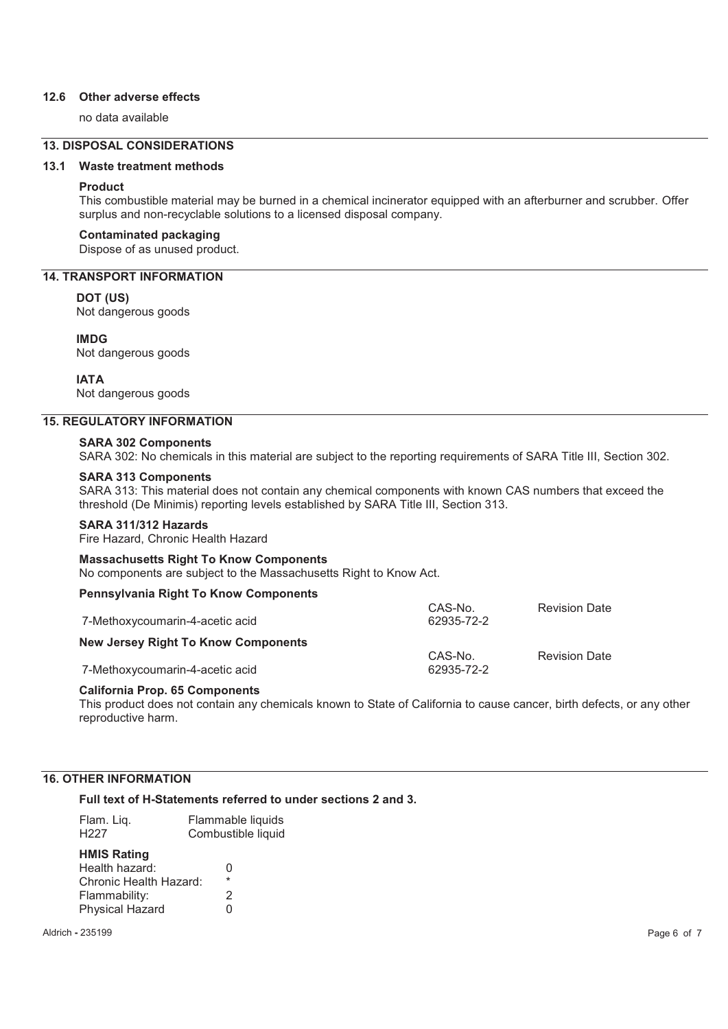### **12.6 Other adverse effects**

no data available

### **13. DISPOSAL CONSIDERATIONS**

### **13.1 Waste treatment methods**

#### **Product**

This combustible material may be burned in a chemical incinerator equipped with an afterburner and scrubber. Offer surplus and non-recyclable solutions to a licensed disposal company.

### **Contaminated packaging**

Dispose of as unused product.

### **14. TRANSPORT INFORMATION**

**DOT (US)**

Not dangerous goods

### **IMDG**

Not dangerous goods

### **IATA**

Not dangerous goods

### **15. REGULATORY INFORMATION**

#### **SARA 302 Components**

SARA 302: No chemicals in this material are subject to the reporting requirements of SARA Title III, Section 302.

### **SARA 313 Components**

SARA 313: This material does not contain any chemical components with known CAS numbers that exceed the threshold (De Minimis) reporting levels established by SARA Title III, Section 313.

### **SARA 311/312 Hazards**

Fire Hazard, Chronic Health Hazard

#### **Massachusetts Right To Know Components**  No components are subject to the Massachusetts Right to Know Act.

#### **Pennsylvania Right To Know Components**

| 7-Methoxycoumarin-4-acetic acid            | CAS-No.<br>62935-72-2 | <b>Revision Date</b> |
|--------------------------------------------|-----------------------|----------------------|
| <b>New Jersey Right To Know Components</b> | CAS-No.               | <b>Revision Date</b> |
| 7-Methoxycoumarin-4-acetic acid            | 62935-72-2            |                      |

### **California Prop. 65 Components**

This product does not contain any chemicals known to State of California to cause cancer, birth defects, or any other reproductive harm.

### **16. OTHER INFORMATION**

### **Full text of H-Statements referred to under sections 2 and 3.**

| Flam. Liq.                                                                                                | Flammable liquids      |
|-----------------------------------------------------------------------------------------------------------|------------------------|
| H <sub>227</sub>                                                                                          | Combustible liquid     |
| <b>HMIS Rating</b><br>Health hazard:<br>Chronic Health Hazard:<br>Flammability:<br><b>Physical Hazard</b> | O<br>$\star$<br>2<br>U |